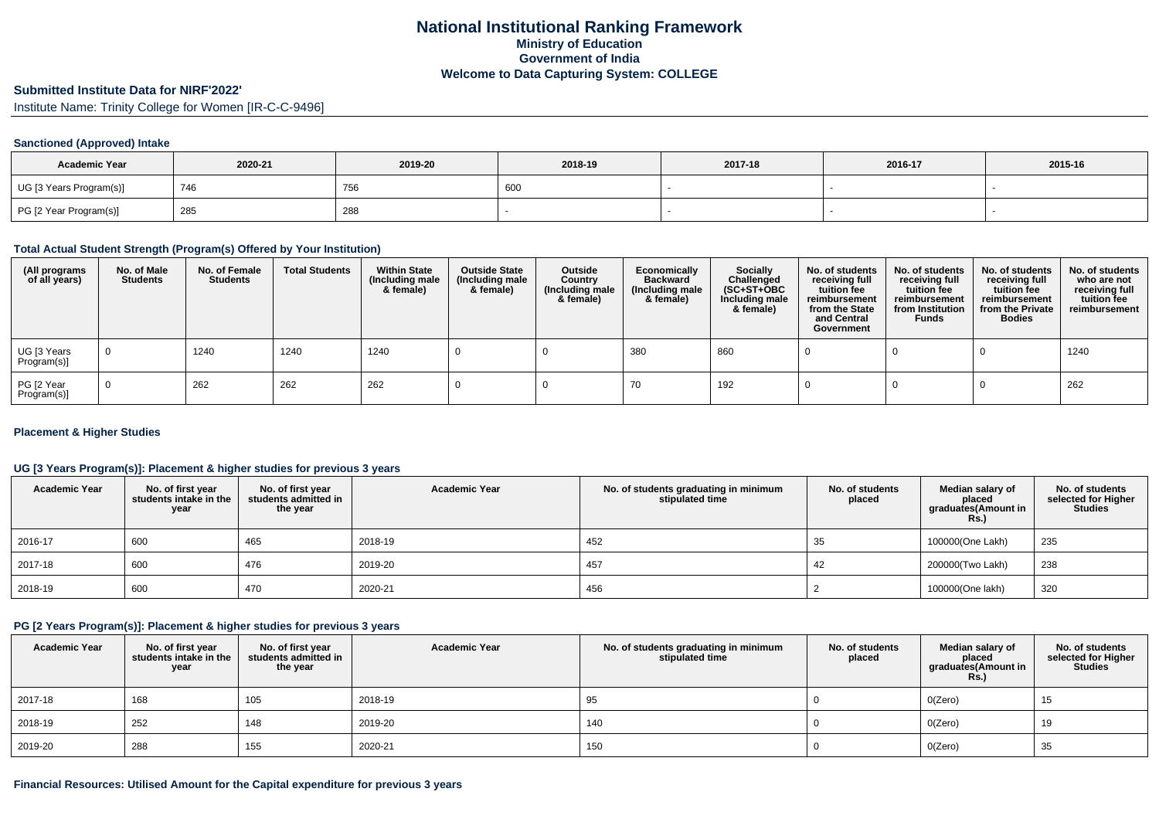#### **Submitted Institute Data for NIRF'2022'**

Institute Name: Trinity College for Women [IR-C-C-9496]

#### **Sanctioned (Approved) Intake**

| <b>Academic Year</b>    | 2020-21 | 2019-20 | 2018-19 | 2017-18 | 2016-17 | 2015-16 |
|-------------------------|---------|---------|---------|---------|---------|---------|
| UG [3 Years Program(s)] | 746     | 756     | 60      |         |         |         |
| PG [2 Year Program(s)]  | 285     | 288     |         |         |         |         |

#### **Total Actual Student Strength (Program(s) Offered by Your Institution)**

| (All programs<br>of all years) | No. of Male<br><b>Students</b> | No. of Female<br><b>Students</b> | <b>Total Students</b> | <b>Within State</b><br>(Including male<br>& female) | <b>Outside State</b><br>(Including male<br>& female) | Outside<br>Country<br>(Including male<br>& female) | Economically<br><b>Backward</b><br>(Including male<br>& female) | <b>Socially</b><br>Challenged<br>$(SC+ST+OBC)$<br>Including male<br>& female) | No. of students<br>receiving full<br>tuition fee<br>reimbursement<br>from the State<br>and Central<br>Government | No. of students<br>receiving full<br>tuition fee<br>reimbursement<br>from Institution<br><b>Funds</b> | No. of students<br>receiving full<br>tuition fee<br>reimbursement<br>from the Private<br><b>Bodies</b> | No. of students<br>who are not<br>receiving full<br>tuition fee<br>reimbursement |
|--------------------------------|--------------------------------|----------------------------------|-----------------------|-----------------------------------------------------|------------------------------------------------------|----------------------------------------------------|-----------------------------------------------------------------|-------------------------------------------------------------------------------|------------------------------------------------------------------------------------------------------------------|-------------------------------------------------------------------------------------------------------|--------------------------------------------------------------------------------------------------------|----------------------------------------------------------------------------------|
| UG [3 Years<br>Program(s)]     | $\overline{0}$                 | 1240                             | 1240                  | 1240                                                |                                                      |                                                    | 380                                                             | 860                                                                           |                                                                                                                  |                                                                                                       |                                                                                                        | 1240                                                                             |
| PG [2 Year<br>Program(s)]      | $\Omega$                       | 262                              | 262                   | 262                                                 |                                                      |                                                    | 70                                                              | 192                                                                           |                                                                                                                  |                                                                                                       |                                                                                                        | 262                                                                              |

#### **Placement & Higher Studies**

### **UG [3 Years Program(s)]: Placement & higher studies for previous 3 years**

| <b>Academic Year</b> | No. of first year<br>students intake in the<br>year | No. of first year<br>students admitted in<br>the year | <b>Academic Year</b> | No. of students graduating in minimum<br>stipulated time | No. of students<br>placed | Median salary of<br>placed<br>graduates (Amount in<br><b>Rs.)</b> | No. of students<br>selected for Higher<br><b>Studies</b> |
|----------------------|-----------------------------------------------------|-------------------------------------------------------|----------------------|----------------------------------------------------------|---------------------------|-------------------------------------------------------------------|----------------------------------------------------------|
| 2016-17              | 600                                                 | 465                                                   | 2018-19              | 452                                                      | 35                        | 100000(One Lakh)                                                  | 235                                                      |
| 2017-18              | 600                                                 | 476                                                   | 2019-20              | 457                                                      | 42                        | 200000(Two Lakh)                                                  | 238                                                      |
| 2018-19              | 600                                                 | 470                                                   | 2020-21              | 456                                                      |                           | 100000(One lakh)                                                  | 320                                                      |

### **PG [2 Years Program(s)]: Placement & higher studies for previous 3 years**

| <b>Academic Year</b> | No. of first year<br>students intake in the<br>year | No. of first year<br>students admitted in<br>the year | <b>Academic Year</b> | No. of students graduating in minimum<br>stipulated time | No. of students<br>placed | Median salary of<br>placed<br>graduates(Amount in<br><b>Rs.)</b> | No. of students<br>selected for Higher<br><b>Studies</b> |
|----------------------|-----------------------------------------------------|-------------------------------------------------------|----------------------|----------------------------------------------------------|---------------------------|------------------------------------------------------------------|----------------------------------------------------------|
| 2017-18              | 168                                                 | 105                                                   | 2018-19              | 95                                                       |                           | O(Zero)                                                          | 15                                                       |
| 2018-19              | 252                                                 | 148                                                   | 2019-20              | 140                                                      |                           | O(Zero)                                                          | 19                                                       |
| 2019-20              | 288                                                 | 155                                                   | 2020-21              | 150                                                      |                           | O(Zero)                                                          | 35                                                       |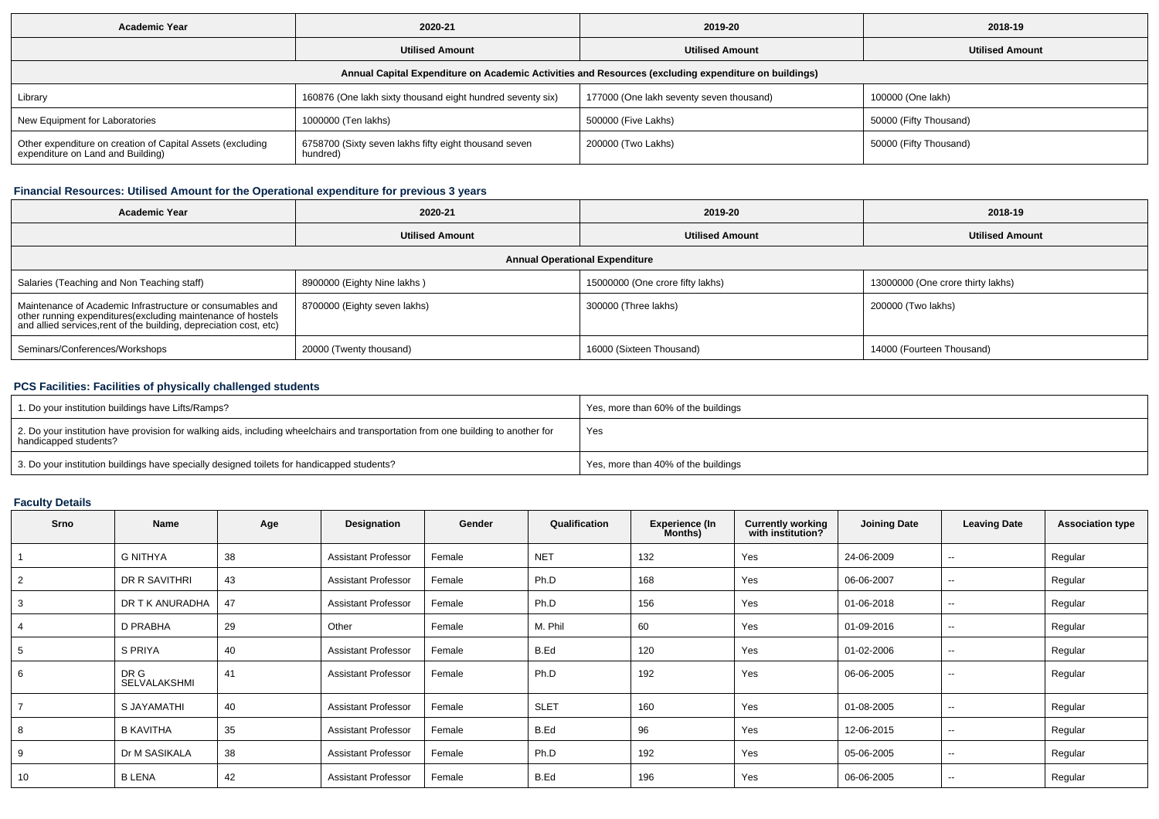| <b>Academic Year</b><br>2020-21                                                                      |                                                                   | 2019-20                                  | 2018-19                |  |  |  |  |  |  |  |
|------------------------------------------------------------------------------------------------------|-------------------------------------------------------------------|------------------------------------------|------------------------|--|--|--|--|--|--|--|
|                                                                                                      | <b>Utilised Amount</b>                                            | <b>Utilised Amount</b>                   | <b>Utilised Amount</b> |  |  |  |  |  |  |  |
| Annual Capital Expenditure on Academic Activities and Resources (excluding expenditure on buildings) |                                                                   |                                          |                        |  |  |  |  |  |  |  |
| Library                                                                                              | 160876 (One lakh sixty thousand eight hundred seventy six)        | 177000 (One lakh seventy seven thousand) | 100000 (One lakh)      |  |  |  |  |  |  |  |
| New Equipment for Laboratories                                                                       | 1000000 (Ten lakhs)                                               | 500000 (Five Lakhs)                      | 50000 (Fifty Thousand) |  |  |  |  |  |  |  |
| Other expenditure on creation of Capital Assets (excluding<br>expenditure on Land and Building)      | 6758700 (Sixty seven lakhs fifty eight thousand seven<br>hundred) | 200000 (Two Lakhs)                       | 50000 (Fifty Thousand) |  |  |  |  |  |  |  |

# **Financial Resources: Utilised Amount for the Operational expenditure for previous 3 years**

| <b>Academic Year</b><br>2020-21                                                                                                                                                                 |                              | 2019-20                          | 2018-19                           |  |  |  |  |  |
|-------------------------------------------------------------------------------------------------------------------------------------------------------------------------------------------------|------------------------------|----------------------------------|-----------------------------------|--|--|--|--|--|
|                                                                                                                                                                                                 | <b>Utilised Amount</b>       |                                  | <b>Utilised Amount</b>            |  |  |  |  |  |
| <b>Annual Operational Expenditure</b>                                                                                                                                                           |                              |                                  |                                   |  |  |  |  |  |
| Salaries (Teaching and Non Teaching staff)                                                                                                                                                      | 8900000 (Eighty Nine lakhs)  | 15000000 (One crore fifty lakhs) | 13000000 (One crore thirty lakhs) |  |  |  |  |  |
| Maintenance of Academic Infrastructure or consumables and<br>other running expenditures (excluding maintenance of hostels<br>and allied services, rent of the building, depreciation cost, etc) | 8700000 (Eighty seven lakhs) | 300000 (Three lakhs)             | 200000 (Two lakhs)                |  |  |  |  |  |
| Seminars/Conferences/Workshops                                                                                                                                                                  | 20000 (Twenty thousand)      | 16000 (Sixteen Thousand)         | 14000 (Fourteen Thousand)         |  |  |  |  |  |

## **PCS Facilities: Facilities of physically challenged students**

| 1. Do your institution buildings have Lifts/Ramps?                                                                                                         | Yes, more than 60% of the buildings |
|------------------------------------------------------------------------------------------------------------------------------------------------------------|-------------------------------------|
| 2. Do your institution have provision for walking aids, including wheelchairs and transportation from one building to another for<br>handicapped students? | Yes                                 |
| 3. Do your institution buildings have specially designed toilets for handicapped students?                                                                 | Yes, more than 40% of the buildings |

## **Faculty Details**

| Srno           | Name                        | Age | Designation                | Gender | Qualification | <b>Experience (In</b><br>Months) | <b>Currently working</b><br>with institution? | <b>Joining Date</b> | <b>Leaving Date</b>      | <b>Association type</b> |
|----------------|-----------------------------|-----|----------------------------|--------|---------------|----------------------------------|-----------------------------------------------|---------------------|--------------------------|-------------------------|
|                | <b>G NITHYA</b>             | 38  | <b>Assistant Professor</b> | Female | <b>NET</b>    | 132                              | Yes                                           | 24-06-2009          | $\overline{\phantom{a}}$ | Regular                 |
| 2              | DR R SAVITHRI               | 43  | <b>Assistant Professor</b> | Female | Ph.D          | 168                              | Yes                                           | 06-06-2007          | $\sim$                   | Regular                 |
| 3              | DR T K ANURADHA             | 47  | <b>Assistant Professor</b> | Female | Ph.D          | 156                              | Yes                                           | 01-06-2018          | $- -$                    | Regular                 |
| $\overline{4}$ | D PRABHA                    | 29  | Other                      | Female | M. Phil       | 60                               | Yes                                           | 01-09-2016          | $\overline{\phantom{a}}$ | Regular                 |
| 5              | S PRIYA                     | 40  | <b>Assistant Professor</b> | Female | B.Ed          | 120                              | Yes                                           | 01-02-2006          | $\sim$                   | Regular                 |
| 6              | DR G<br><b>SELVALAKSHMI</b> | 41  | <b>Assistant Professor</b> | Female | Ph.D          | 192                              | Yes                                           | 06-06-2005          | $\sim$                   | Regular                 |
|                | S JAYAMATHI                 | 40  | <b>Assistant Professor</b> | Female | <b>SLET</b>   | 160                              | Yes                                           | 01-08-2005          | $\overline{\phantom{a}}$ | Regular                 |
| 8              | <b>B KAVITHA</b>            | 35  | <b>Assistant Professor</b> | Female | B.Ed          | 96                               | Yes                                           | 12-06-2015          | $\sim$                   | Regular                 |
| 9              | Dr M SASIKALA               | 38  | <b>Assistant Professor</b> | Female | Ph.D          | 192                              | Yes                                           | 05-06-2005          | $\sim$                   | Regular                 |
| 10             | <b>B LENA</b>               | 42  | <b>Assistant Professor</b> | Female | B.Ed          | 196                              | Yes                                           | 06-06-2005          | --                       | Regular                 |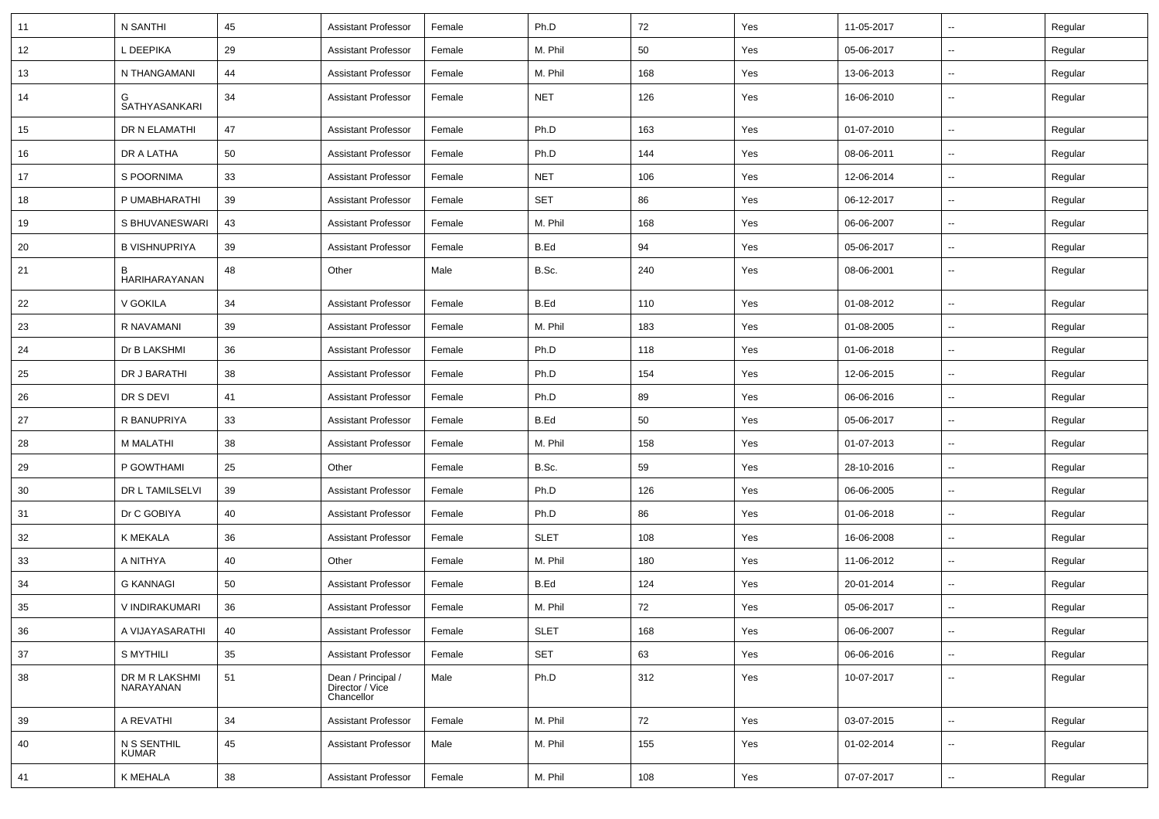| 11 | N SANTHI                    | 45 | <b>Assistant Professor</b>                          | Female | Ph.D        | 72  | Yes | 11-05-2017 | ⊶.                       | Regular |
|----|-----------------------------|----|-----------------------------------------------------|--------|-------------|-----|-----|------------|--------------------------|---------|
| 12 | L DEEPIKA                   | 29 | <b>Assistant Professor</b>                          | Female | M. Phil     | 50  | Yes | 05-06-2017 | ⊶.                       | Regular |
| 13 | N THANGAMANI                | 44 | <b>Assistant Professor</b>                          | Female | M. Phil     | 168 | Yes | 13-06-2013 | ⊶.                       | Regular |
| 14 | <b>SATHYASANKARI</b>        | 34 | <b>Assistant Professor</b>                          | Female | <b>NET</b>  | 126 | Yes | 16-06-2010 | --                       | Regular |
| 15 | DR N ELAMATHI               | 47 | <b>Assistant Professor</b>                          | Female | Ph.D        | 163 | Yes | 01-07-2010 | $\sim$                   | Regular |
| 16 | DR A LATHA                  | 50 | <b>Assistant Professor</b>                          | Female | Ph.D        | 144 | Yes | 08-06-2011 | $\overline{\phantom{a}}$ | Regular |
| 17 | S POORNIMA                  | 33 | <b>Assistant Professor</b>                          | Female | <b>NET</b>  | 106 | Yes | 12-06-2014 | $\overline{\phantom{a}}$ | Regular |
| 18 | P UMABHARATHI               | 39 | <b>Assistant Professor</b>                          | Female | SET         | 86  | Yes | 06-12-2017 | $\sim$                   | Regular |
| 19 | S BHUVANESWARI              | 43 | <b>Assistant Professor</b>                          | Female | M. Phil     | 168 | Yes | 06-06-2007 | ⊶.                       | Regular |
| 20 | <b>B VISHNUPRIYA</b>        | 39 | <b>Assistant Professor</b>                          | Female | B.Ed        | 94  | Yes | 05-06-2017 | $\overline{\phantom{a}}$ | Regular |
| 21 | <b>HARIHARAYANAN</b>        | 48 | Other                                               | Male   | B.Sc.       | 240 | Yes | 08-06-2001 | −−                       | Regular |
| 22 | V GOKILA                    | 34 | <b>Assistant Professor</b>                          | Female | B.Ed        | 110 | Yes | 01-08-2012 | $\overline{\phantom{a}}$ | Regular |
| 23 | R NAVAMANI                  | 39 | <b>Assistant Professor</b>                          | Female | M. Phil     | 183 | Yes | 01-08-2005 | --                       | Regular |
| 24 | Dr B LAKSHMI                | 36 | <b>Assistant Professor</b>                          | Female | Ph.D        | 118 | Yes | 01-06-2018 | $\sim$                   | Regular |
| 25 | DR J BARATHI                | 38 | <b>Assistant Professor</b>                          | Female | Ph.D        | 154 | Yes | 12-06-2015 | $\sim$                   | Regular |
| 26 | DR S DEVI                   | 41 | <b>Assistant Professor</b>                          | Female | Ph.D        | 89  | Yes | 06-06-2016 | $\sim$                   | Regular |
| 27 | R BANUPRIYA                 | 33 | <b>Assistant Professor</b>                          | Female | B.Ed        | 50  | Yes | 05-06-2017 | $\overline{\phantom{a}}$ | Regular |
| 28 | M MALATHI                   | 38 | <b>Assistant Professor</b>                          | Female | M. Phil     | 158 | Yes | 01-07-2013 | ⊷.                       | Regular |
| 29 | P GOWTHAMI                  | 25 | Other                                               | Female | B.Sc.       | 59  | Yes | 28-10-2016 | $\overline{\phantom{a}}$ | Regular |
| 30 | DR L TAMILSELVI             | 39 | <b>Assistant Professor</b>                          | Female | Ph.D        | 126 | Yes | 06-06-2005 | $\sim$                   | Regular |
| 31 | Dr C GOBIYA                 | 40 | <b>Assistant Professor</b>                          | Female | Ph.D        | 86  | Yes | 01-06-2018 | $\sim$                   | Regular |
| 32 | K MEKALA                    | 36 | <b>Assistant Professor</b>                          | Female | <b>SLET</b> | 108 | Yes | 16-06-2008 | $\sim$                   | Regular |
| 33 | A NITHYA                    | 40 | Other                                               | Female | M. Phil     | 180 | Yes | 11-06-2012 | $\overline{\phantom{a}}$ | Regular |
| 34 | <b>G KANNAGI</b>            | 50 | <b>Assistant Professor</b>                          | Female | B.Ed        | 124 | Yes | 20-01-2014 | $\overline{\phantom{a}}$ | Regular |
| 35 | V INDIRAKUMARI              | 36 | <b>Assistant Professor</b>                          | Female | M. Phil     | 72  | Yes | 05-06-2017 | $\overline{\phantom{a}}$ | Regular |
| 36 | A VIJAYASARATHI             | 40 | <b>Assistant Professor</b>                          | Female | SLET        | 168 | Yes | 06-06-2007 |                          | Regular |
| 37 | S MYTHILI                   | 35 | <b>Assistant Professor</b>                          | Female | SET         | 63  | Yes | 06-06-2016 | $\sim$                   | Regular |
| 38 | DR M R LAKSHMI<br>NARAYANAN | 51 | Dean / Principal /<br>Director / Vice<br>Chancellor | Male   | Ph.D        | 312 | Yes | 10-07-2017 | $\sim$                   | Regular |
| 39 | A REVATHI                   | 34 | <b>Assistant Professor</b>                          | Female | M. Phil     | 72  | Yes | 03-07-2015 | Щ,                       | Regular |
| 40 | N S SENTHIL<br>KUMAR        | 45 | <b>Assistant Professor</b>                          | Male   | M. Phil     | 155 | Yes | 01-02-2014 | $\overline{\phantom{a}}$ | Regular |
| 41 | K MEHALA                    | 38 | Assistant Professor                                 | Female | M. Phil     | 108 | Yes | 07-07-2017 | $\overline{\phantom{a}}$ | Regular |